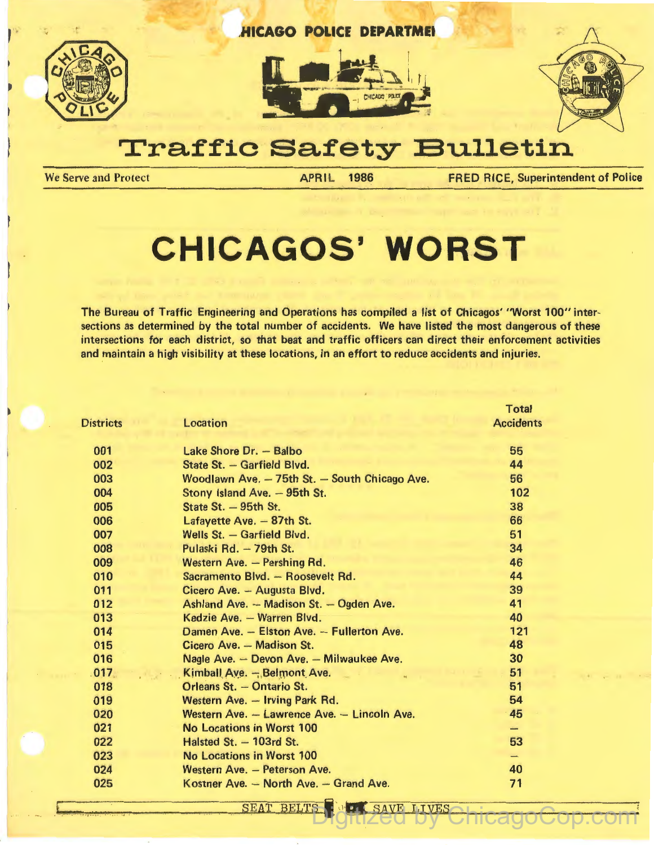

# **Traffic Safety Bulletin**

'

We Serve and Protect **APRIL 1986** FRED RICE, Superintendent of Police

# **CHICAGOS' WORST**

The Bureau of Traffic Engineering and Operations has compiled a list of Chicagos' ''Worst 100" intersections as determined by the total number of accidents. We have listed the most dangerous of these intersections for each district, so that beat and traffic officers can direct their enforcement activities and maintain a high visibility at these locations, in an effort to reduce accidents and injuries.

|                  |                                               | <b>Total</b>             |
|------------------|-----------------------------------------------|--------------------------|
| <b>Districts</b> | <b>Location</b>                               | <b>Accidents</b>         |
| 001              | Lake Shore Dr. - Balbo                        | 55                       |
| 002              | State St. - Garfield Blvd.                    | 44                       |
| 003              | Woodlawn Ave. - 75th St. - South Chicago Ave. | 56                       |
| 004              | Stony Island Ave. - 95th St.                  | 102                      |
| 005              | State St. - 95th St.                          | 38                       |
| 006              | Lafayette Ave. - 87th St.                     | 66                       |
| 007              | Wells St. - Garfield Blvd.                    | 51                       |
| 008              | Pulaski Rd. - 79th St.                        | 34                       |
| 009              | Western Ave. - Pershing Rd.                   | 46                       |
| 010              | Sacramento Blvd. - Roosevelt Rd.              | 44                       |
| 011              | Cicero Ave. - Augusta Blvd.                   | 39                       |
| 012              | Ashland Ave. - Madison St. - Ogden Ave.       | 41                       |
| 013              | Kedzie Ave. - Warren Blvd.                    | 40                       |
| 014              | Damen Ave. - Elston Ave. - Fullerton Ave.     | 121                      |
| 015              | Cicero Ave. - Madison St.                     | 48                       |
| 016              | Nagle Ave. - Devon Ave. - Milwaukee Ave.      | 30                       |
| .017             | Kimball Ave. - Belmont Ave.                   | 51                       |
| 018              | Orleans St. - Ontario St.                     | 51                       |
| 019              | Western Ave. - Irving Park Rd.                | 54                       |
| 020              | Western Ave. - Lawrence Ave. - Lincoln Ave.   | 45                       |
| 021              | <b>No Locations in Worst 100</b>              | المنشد                   |
| 022              | Halsted St. - 103rd St.                       | 53                       |
| 023              | <b>No Locations in Worst 100</b>              | $\overline{\phantom{0}}$ |
| 024              | Western Ave. - Peterson Ave.                  | 40                       |
| 025              | Kostner Ave. - North Ave. - Grand Ave.        | 71                       |
|                  |                                               |                          |

**SEAT BELTS** 

SAVE LIVES

Digitized by ChicagoCop.com